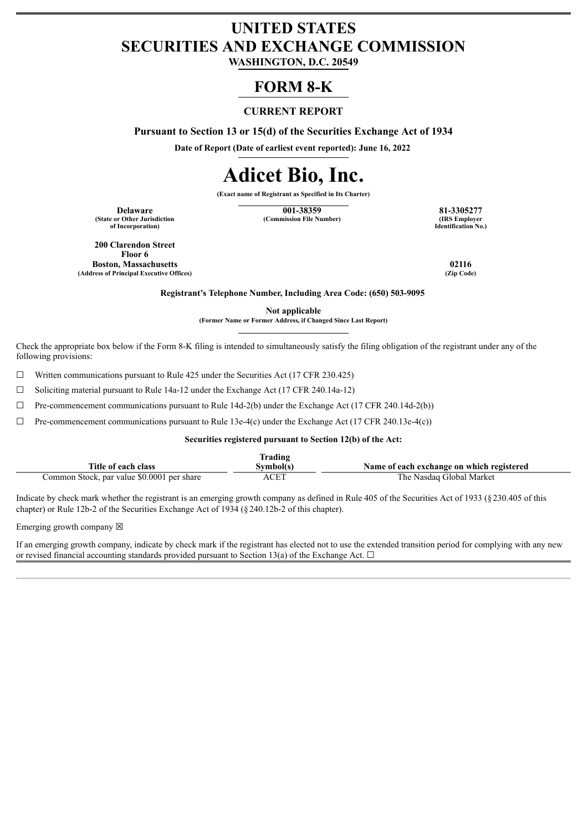# **UNITED STATES SECURITIES AND EXCHANGE COMMISSION**

**WASHINGTON, D.C. 20549**

# **FORM 8-K**

# **CURRENT REPORT**

**Pursuant to Section 13 or 15(d) of the Securities Exchange Act of 1934**

**Date of Report (Date of earliest event reported): June 16, 2022**

# **Adicet Bio, Inc.**

**(Exact name of Registrant as Specified in Its Charter)**

**(State or Other Jurisdiction of Incorporation)**

**Delaware 121-381-3305277 81-3305277**<br> **121-3805277 81-3305277 81-3305277 121-40 121-40 121-40 121-40 121-40 121-40 131-40 131-40 131-40 131-40 131-40 131-40 131-40 131-40 131-40 131 (Commission File Number)** 

**Identification No.)**

**200 Clarendon Street Floor 6 Boston, Massachusetts 02116 (Address of Principal Executive Offices) (Zip Code)**

**Registrant's Telephone Number, Including Area Code: (650) 503-9095**

**Not applicable**

**(Former Name or Former Address, if Changed Since Last Report)**

Check the appropriate box below if the Form 8-K filing is intended to simultaneously satisfy the filing obligation of the registrant under any of the following provisions:

☐ Written communications pursuant to Rule 425 under the Securities Act (17 CFR 230.425)

 $\Box$  Soliciting material pursuant to Rule 14a-12 under the Exchange Act (17 CFR 240.14a-12)

 $\Box$  Pre-commencement communications pursuant to Rule 14d-2(b) under the Exchange Act (17 CFR 240.14d-2(b))

 $\Box$  Pre-commencement communications pursuant to Rule 13e-4(c) under the Exchange Act (17 CFR 240.13e-4(c))

#### **Securities registered pursuant to Section 12(b) of the Act:**

|                                            | <b>frading</b> |                                           |
|--------------------------------------------|----------------|-------------------------------------------|
| Title of each class                        | Svmbol(s       | Name of each exchange on which registered |
| Common Stock, par value \$0.0001 per share | ACET           | The Nasdaq Global Market                  |

Indicate by check mark whether the registrant is an emerging growth company as defined in Rule 405 of the Securities Act of 1933 (§230.405 of this chapter) or Rule 12b-2 of the Securities Exchange Act of 1934 (§240.12b-2 of this chapter).

Emerging growth company  $\boxtimes$ 

If an emerging growth company, indicate by check mark if the registrant has elected not to use the extended transition period for complying with any new or revised financial accounting standards provided pursuant to Section 13(a) of the Exchange Act.  $\Box$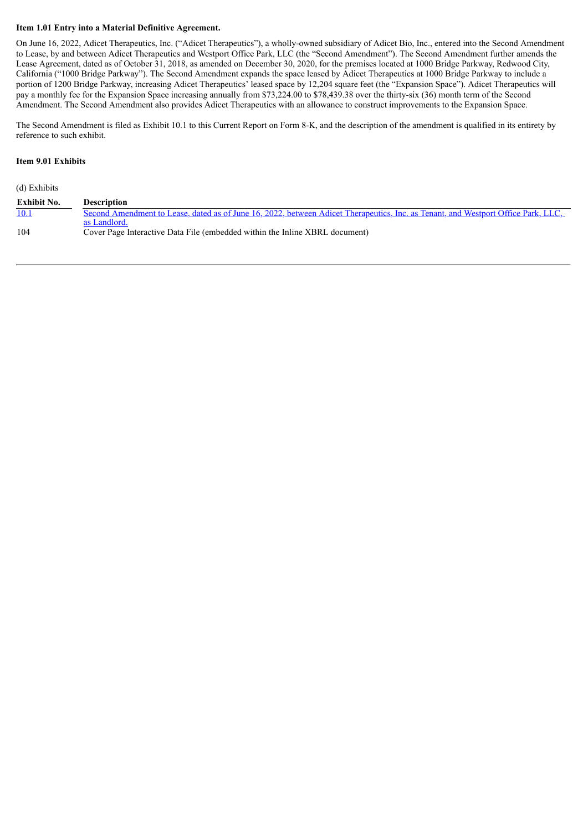#### **Item 1.01 Entry into a Material Definitive Agreement.**

On June 16, 2022, Adicet Therapeutics, Inc. ("Adicet Therapeutics"), a wholly-owned subsidiary of Adicet Bio, Inc., entered into the Second Amendment to Lease, by and between Adicet Therapeutics and Westport Office Park, LLC (the "Second Amendment"). The Second Amendment further amends the Lease Agreement, dated as of October 31, 2018, as amended on December 30, 2020, for the premises located at 1000 Bridge Parkway, Redwood City, California ("1000 Bridge Parkway"). The Second Amendment expands the space leased by Adicet Therapeutics at 1000 Bridge Parkway to include a portion of 1200 Bridge Parkway, increasing Adicet Therapeutics' leased space by 12,204 square feet (the "Expansion Space"). Adicet Therapeutics will pay a monthly fee for the Expansion Space increasing annually from \$73,224.00 to \$78,439.38 over the thirty-six (36) month term of the Second Amendment. The Second Amendment also provides Adicet Therapeutics with an allowance to construct improvements to the Expansion Space.

The Second Amendment is filed as Exhibit 10.1 to this Current Report on Form 8-K, and the description of the amendment is qualified in its entirety by reference to such exhibit.

#### **Item 9.01 Exhibits**

(d) Exhibits

| <b>Exhibit No.</b> | Description                                                                                                                       |
|--------------------|-----------------------------------------------------------------------------------------------------------------------------------|
| 10.1               | Second Amendment to Lease, dated as of June 16, 2022, between Adicet Therapeutics, Inc. as Tenant, and Westport Office Park, LLC, |
|                    | as Landlord.                                                                                                                      |
| 104                | Cover Page Interactive Data File (embedded within the Inline XBRL document)                                                       |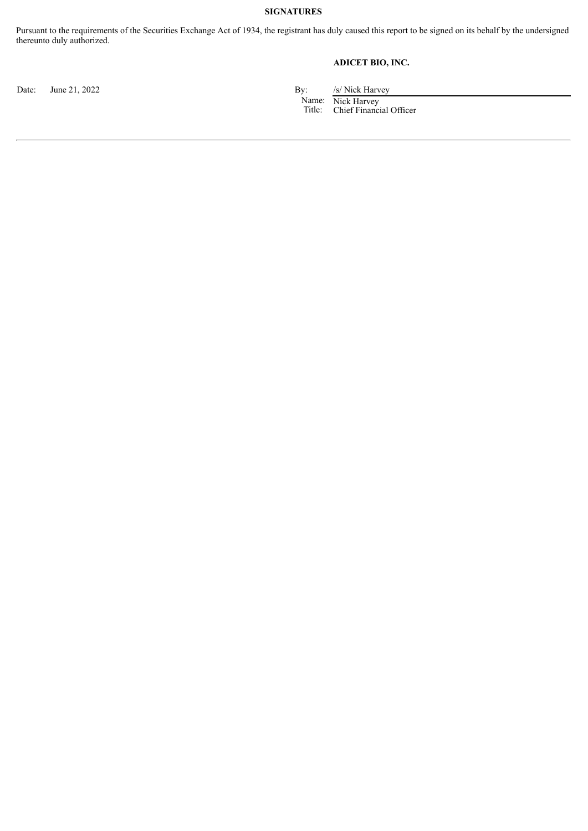#### **SIGNATURES**

Pursuant to the requirements of the Securities Exchange Act of 1934, the registrant has duly caused this report to be signed on its behalf by the undersigned thereunto duly authorized.

# **ADICET BIO, INC.**

Date: June 21, 2022 By: /s/ Nick Harvey

Name: Title: Nick Harvey Chief Financial Officer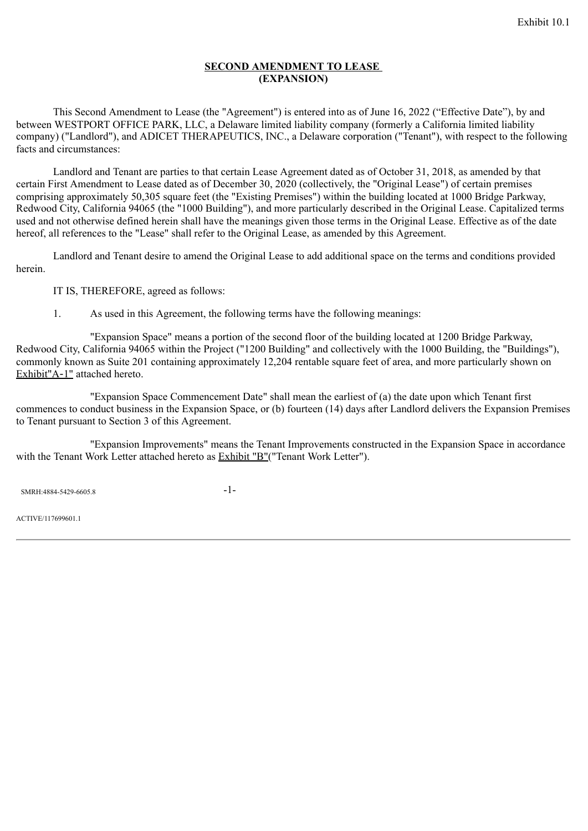# **SECOND AMENDMENT TO LEASE (EXPANSION)**

<span id="page-3-0"></span>This Second Amendment to Lease (the "Agreement") is entered into as of June 16, 2022 ("Effective Date"), by and between WESTPORT OFFICE PARK, LLC, a Delaware limited liability company (formerly a California limited liability company) ("Landlord"), and ADICET THERAPEUTICS, INC., a Delaware corporation ("Tenant"), with respect to the following facts and circumstances:

Landlord and Tenant are parties to that certain Lease Agreement dated as of October 31, 2018, as amended by that certain First Amendment to Lease dated as of December 30, 2020 (collectively, the "Original Lease") of certain premises comprising approximately 50,305 square feet (the "Existing Premises") within the building located at 1000 Bridge Parkway, Redwood City, California 94065 (the "1000 Building"), and more particularly described in the Original Lease. Capitalized terms used and not otherwise defined herein shall have the meanings given those terms in the Original Lease. Effective as of the date hereof, all references to the "Lease" shall refer to the Original Lease, as amended by this Agreement.

Landlord and Tenant desire to amend the Original Lease to add additional space on the terms and conditions provided herein.

IT IS, THEREFORE, agreed as follows:

1. As used in this Agreement, the following terms have the following meanings:

"Expansion Space" means a portion of the second floor of the building located at 1200 Bridge Parkway, Redwood City, California 94065 within the Project ("1200 Building" and collectively with the 1000 Building, the "Buildings"), commonly known as Suite 201 containing approximately 12,204 rentable square feet of area, and more particularly shown on Exhibit"A-1" attached hereto.

"Expansion Space Commencement Date" shall mean the earliest of (a) the date upon which Tenant first commences to conduct business in the Expansion Space, or (b) fourteen (14) days after Landlord delivers the Expansion Premises to Tenant pursuant to Section 3 of this Agreement.

"Expansion Improvements" means the Tenant Improvements constructed in the Expansion Space in accordance with the Tenant Work Letter attached hereto as Exhibit "B"("Tenant Work Letter").

 $SNRH:4884-5429-6605.8$  -1-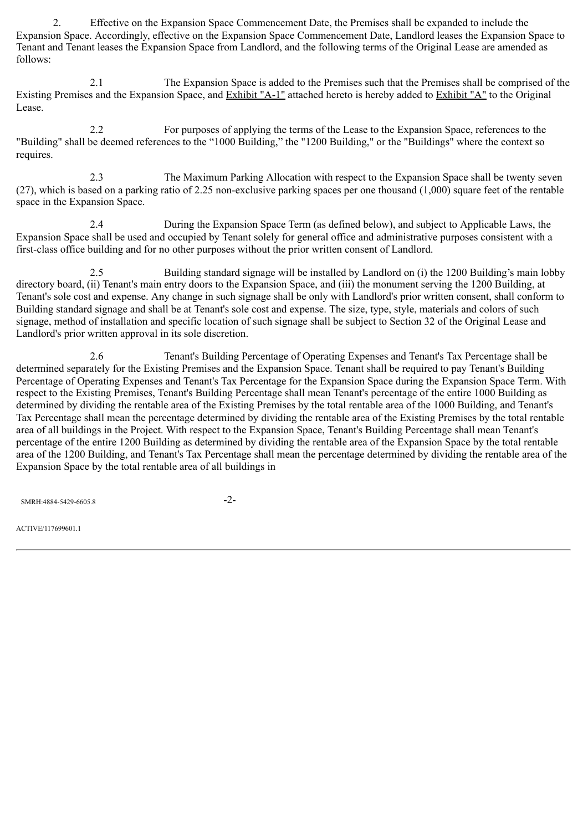2. Effective on the Expansion Space Commencement Date, the Premises shall be expanded to include the Expansion Space. Accordingly, effective on the Expansion Space Commencement Date, Landlord leases the Expansion Space to Tenant and Tenant leases the Expansion Space from Landlord, and the following terms of the Original Lease are amended as follows:

2.1 The Expansion Space is added to the Premises such that the Premises shall be comprised of the Existing Premises and the Expansion Space, and Exhibit "A-1" attached hereto is hereby added to Exhibit "A" to the Original Lease.

2.2 For purposes of applying the terms of the Lease to the Expansion Space, references to the "Building" shall be deemed references to the "1000 Building," the "1200 Building," or the "Buildings" where the context so requires.

2.3 The Maximum Parking Allocation with respect to the Expansion Space shall be twenty seven (27), which is based on a parking ratio of 2.25 non-exclusive parking spaces per one thousand (1,000) square feet of the rentable space in the Expansion Space.

2.4 During the Expansion Space Term (as defined below), and subject to Applicable Laws, the Expansion Space shall be used and occupied by Tenant solely for general office and administrative purposes consistent with a first-class office building and for no other purposes without the prior written consent of Landlord.

2.5 Building standard signage will be installed by Landlord on (i) the 1200 Building's main lobby directory board, (ii) Tenant's main entry doors to the Expansion Space, and (iii) the monument serving the 1200 Building, at Tenant's sole cost and expense. Any change in such signage shall be only with Landlord's prior written consent, shall conform to Building standard signage and shall be at Tenant's sole cost and expense. The size, type, style, materials and colors of such signage, method of installation and specific location of such signage shall be subject to Section 32 of the Original Lease and Landlord's prior written approval in its sole discretion.

2.6 Tenant's Building Percentage of Operating Expenses and Tenant's Tax Percentage shall be determined separately for the Existing Premises and the Expansion Space. Tenant shall be required to pay Tenant's Building Percentage of Operating Expenses and Tenant's Tax Percentage for the Expansion Space during the Expansion Space Term. With respect to the Existing Premises, Tenant's Building Percentage shall mean Tenant's percentage of the entire 1000 Building as determined by dividing the rentable area of the Existing Premises by the total rentable area of the 1000 Building, and Tenant's Tax Percentage shall mean the percentage determined by dividing the rentable area of the Existing Premises by the total rentable area of all buildings in the Project. With respect to the Expansion Space, Tenant's Building Percentage shall mean Tenant's percentage of the entire 1200 Building as determined by dividing the rentable area of the Expansion Space by the total rentable area of the 1200 Building, and Tenant's Tax Percentage shall mean the percentage determined by dividing the rentable area of the Expansion Space by the total rentable area of all buildings in

SMRH:4884-5429-6605.8 -2-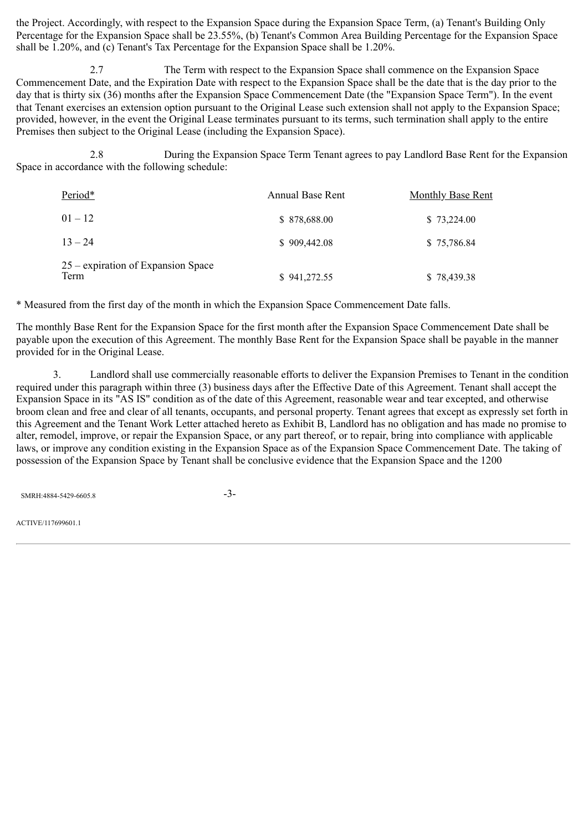the Project. Accordingly, with respect to the Expansion Space during the Expansion Space Term, (a) Tenant's Building Only Percentage for the Expansion Space shall be 23.55%, (b) Tenant's Common Area Building Percentage for the Expansion Space shall be 1.20%, and (c) Tenant's Tax Percentage for the Expansion Space shall be 1.20%.

2.7 The Term with respect to the Expansion Space shall commence on the Expansion Space Commencement Date, and the Expiration Date with respect to the Expansion Space shall be the date that is the day prior to the day that is thirty six (36) months after the Expansion Space Commencement Date (the "Expansion Space Term"). In the event that Tenant exercises an extension option pursuant to the Original Lease such extension shall not apply to the Expansion Space; provided, however, in the event the Original Lease terminates pursuant to its terms, such termination shall apply to the entire Premises then subject to the Original Lease (including the Expansion Space).

2.8 During the Expansion Space Term Tenant agrees to pay Landlord Base Rent for the Expansion Space in accordance with the following schedule:

| Period*                                    | <b>Annual Base Rent</b> | <b>Monthly Base Rent</b> |
|--------------------------------------------|-------------------------|--------------------------|
| $01 - 12$                                  | \$878,688.00            | \$73,224.00              |
| $13 - 24$                                  | \$909,442.08            | \$75,786.84              |
| 25 – expiration of Expansion Space<br>Term | \$941,272.55            | \$78,439.38              |

\* Measured from the first day of the month in which the Expansion Space Commencement Date falls.

The monthly Base Rent for the Expansion Space for the first month after the Expansion Space Commencement Date shall be payable upon the execution of this Agreement. The monthly Base Rent for the Expansion Space shall be payable in the manner provided for in the Original Lease.

3. Landlord shall use commercially reasonable efforts to deliver the Expansion Premises to Tenant in the condition required under this paragraph within three (3) business days after the Effective Date of this Agreement. Tenant shall accept the Expansion Space in its "AS IS" condition as of the date of this Agreement, reasonable wear and tear excepted, and otherwise broom clean and free and clear of all tenants, occupants, and personal property. Tenant agrees that except as expressly set forth in this Agreement and the Tenant Work Letter attached hereto as Exhibit B, Landlord has no obligation and has made no promise to alter, remodel, improve, or repair the Expansion Space, or any part thereof, or to repair, bring into compliance with applicable laws, or improve any condition existing in the Expansion Space as of the Expansion Space Commencement Date. The taking of possession of the Expansion Space by Tenant shall be conclusive evidence that the Expansion Space and the 1200

SMRH:4884-5429-6605.8 -3-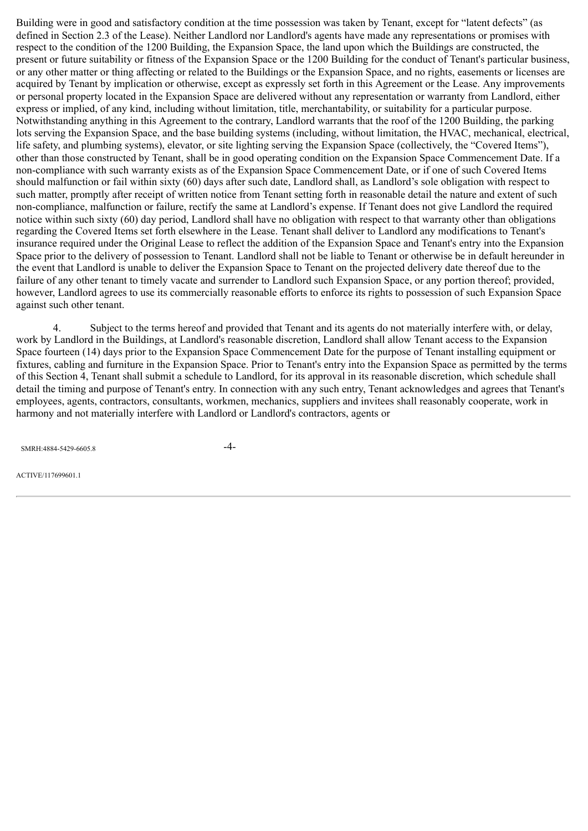Building were in good and satisfactory condition at the time possession was taken by Tenant, except for "latent defects" (as defined in Section 2.3 of the Lease). Neither Landlord nor Landlord's agents have made any representations or promises with respect to the condition of the 1200 Building, the Expansion Space, the land upon which the Buildings are constructed, the present or future suitability or fitness of the Expansion Space or the 1200 Building for the conduct of Tenant's particular business, or any other matter or thing affecting or related to the Buildings or the Expansion Space, and no rights, easements or licenses are acquired by Tenant by implication or otherwise, except as expressly set forth in this Agreement or the Lease. Any improvements or personal property located in the Expansion Space are delivered without any representation or warranty from Landlord, either express or implied, of any kind, including without limitation, title, merchantability, or suitability for a particular purpose. Notwithstanding anything in this Agreement to the contrary, Landlord warrants that the roof of the 1200 Building, the parking lots serving the Expansion Space, and the base building systems (including, without limitation, the HVAC, mechanical, electrical, life safety, and plumbing systems), elevator, or site lighting serving the Expansion Space (collectively, the "Covered Items"), other than those constructed by Tenant, shall be in good operating condition on the Expansion Space Commencement Date. If a non-compliance with such warranty exists as of the Expansion Space Commencement Date, or if one of such Covered Items should malfunction or fail within sixty (60) days after such date, Landlord shall, as Landlord's sole obligation with respect to such matter, promptly after receipt of written notice from Tenant setting forth in reasonable detail the nature and extent of such non-compliance, malfunction or failure, rectify the same at Landlord's expense. If Tenant does not give Landlord the required notice within such sixty (60) day period, Landlord shall have no obligation with respect to that warranty other than obligations regarding the Covered Items set forth elsewhere in the Lease. Tenant shall deliver to Landlord any modifications to Tenant's insurance required under the Original Lease to reflect the addition of the Expansion Space and Tenant's entry into the Expansion Space prior to the delivery of possession to Tenant. Landlord shall not be liable to Tenant or otherwise be in default hereunder in the event that Landlord is unable to deliver the Expansion Space to Tenant on the projected delivery date thereof due to the failure of any other tenant to timely vacate and surrender to Landlord such Expansion Space, or any portion thereof; provided, however, Landlord agrees to use its commercially reasonable efforts to enforce its rights to possession of such Expansion Space against such other tenant.

4. Subject to the terms hereof and provided that Tenant and its agents do not materially interfere with, or delay, work by Landlord in the Buildings, at Landlord's reasonable discretion, Landlord shall allow Tenant access to the Expansion Space fourteen (14) days prior to the Expansion Space Commencement Date for the purpose of Tenant installing equipment or fixtures, cabling and furniture in the Expansion Space. Prior to Tenant's entry into the Expansion Space as permitted by the terms of this Section 4, Tenant shall submit a schedule to Landlord, for its approval in its reasonable discretion, which schedule shall detail the timing and purpose of Tenant's entry. In connection with any such entry, Tenant acknowledges and agrees that Tenant's employees, agents, contractors, consultants, workmen, mechanics, suppliers and invitees shall reasonably cooperate, work in harmony and not materially interfere with Landlord or Landlord's contractors, agents or

SMRH:4884-5429-6605.8 -4-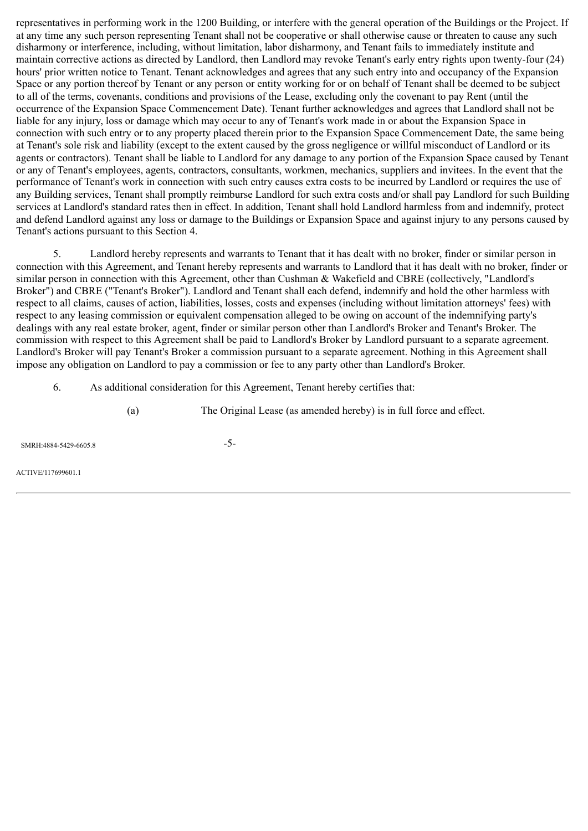representatives in performing work in the 1200 Building, or interfere with the general operation of the Buildings or the Project. If at any time any such person representing Tenant shall not be cooperative or shall otherwise cause or threaten to cause any such disharmony or interference, including, without limitation, labor disharmony, and Tenant fails to immediately institute and maintain corrective actions as directed by Landlord, then Landlord may revoke Tenant's early entry rights upon twenty-four (24) hours' prior written notice to Tenant. Tenant acknowledges and agrees that any such entry into and occupancy of the Expansion Space or any portion thereof by Tenant or any person or entity working for or on behalf of Tenant shall be deemed to be subject to all of the terms, covenants, conditions and provisions of the Lease, excluding only the covenant to pay Rent (until the occurrence of the Expansion Space Commencement Date). Tenant further acknowledges and agrees that Landlord shall not be liable for any injury, loss or damage which may occur to any of Tenant's work made in or about the Expansion Space in connection with such entry or to any property placed therein prior to the Expansion Space Commencement Date, the same being at Tenant's sole risk and liability (except to the extent caused by the gross negligence or willful misconduct of Landlord or its agents or contractors). Tenant shall be liable to Landlord for any damage to any portion of the Expansion Space caused by Tenant or any of Tenant's employees, agents, contractors, consultants, workmen, mechanics, suppliers and invitees. In the event that the performance of Tenant's work in connection with such entry causes extra costs to be incurred by Landlord or requires the use of any Building services, Tenant shall promptly reimburse Landlord for such extra costs and/or shall pay Landlord for such Building services at Landlord's standard rates then in effect. In addition, Tenant shall hold Landlord harmless from and indemnify, protect and defend Landlord against any loss or damage to the Buildings or Expansion Space and against injury to any persons caused by Tenant's actions pursuant to this Section 4.

5. Landlord hereby represents and warrants to Tenant that it has dealt with no broker, finder or similar person in connection with this Agreement, and Tenant hereby represents and warrants to Landlord that it has dealt with no broker, finder or similar person in connection with this Agreement, other than Cushman & Wakefield and CBRE (collectively, "Landlord's Broker") and CBRE ("Tenant's Broker"). Landlord and Tenant shall each defend, indemnify and hold the other harmless with respect to all claims, causes of action, liabilities, losses, costs and expenses (including without limitation attorneys' fees) with respect to any leasing commission or equivalent compensation alleged to be owing on account of the indemnifying party's dealings with any real estate broker, agent, finder or similar person other than Landlord's Broker and Tenant's Broker. The commission with respect to this Agreement shall be paid to Landlord's Broker by Landlord pursuant to a separate agreement. Landlord's Broker will pay Tenant's Broker a commission pursuant to a separate agreement. Nothing in this Agreement shall impose any obligation on Landlord to pay a commission or fee to any party other than Landlord's Broker.

- 6. As additional consideration for this Agreement, Tenant hereby certifies that:
	- (a) The Original Lease (as amended hereby) is in full force and effect.

SMRH:4884-5429-6605.8 -5-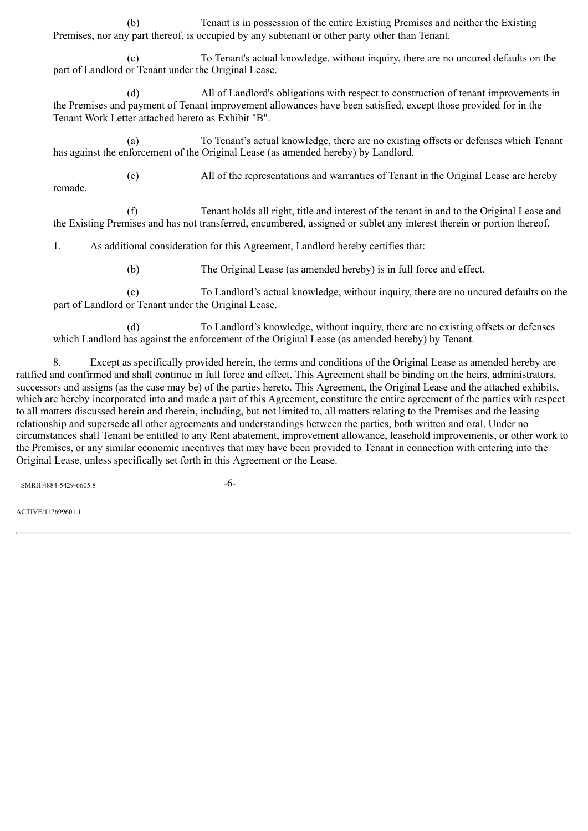(b) Tenant is in possession of the entire Existing Premises and neither the Existing Premises, nor any part thereof, is occupied by any subtenant or other party other than Tenant.

(c) To Tenant's actual knowledge, without inquiry, there are no uncured defaults on the part of Landlord or Tenant under the Original Lease.

(d) All of Landlord's obligations with respect to construction of tenant improvements in the Premises and payment of Tenant improvement allowances have been satisfied, except those provided for in the Tenant Work Letter attached hereto as Exhibit "B".

(a) To Tenant's actual knowledge, there are no existing offsets or defenses which Tenant has against the enforcement of the Original Lease (as amended hereby) by Landlord.

remade.

(e) All of the representations and warranties of Tenant in the Original Lease are hereby

(f) Tenant holds all right, title and interest of the tenant in and to the Original Lease and the Existing Premises and has not transferred, encumbered, assigned or sublet any interest therein or portion thereof.

1. As additional consideration for this Agreement, Landlord hereby certifies that:

(b) The Original Lease (as amended hereby) is in full force and effect.

(c) To Landlord's actual knowledge, without inquiry, there are no uncured defaults on the part of Landlord or Tenant under the Original Lease.

(d) To Landlord's knowledge, without inquiry, there are no existing offsets or defenses which Landlord has against the enforcement of the Original Lease (as amended hereby) by Tenant.

8. Except as specifically provided herein, the terms and conditions of the Original Lease as amended hereby are ratified and confirmed and shall continue in full force and effect. This Agreement shall be binding on the heirs, administrators, successors and assigns (as the case may be) of the parties hereto. This Agreement, the Original Lease and the attached exhibits, which are hereby incorporated into and made a part of this Agreement, constitute the entire agreement of the parties with respect to all matters discussed herein and therein, including, but not limited to, all matters relating to the Premises and the leasing relationship and supersede all other agreements and understandings between the parties, both written and oral. Under no circumstances shall Tenant be entitled to any Rent abatement, improvement allowance, leasehold improvements, or other work to the Premises, or any similar economic incentives that may have been provided to Tenant in connection with entering into the Original Lease, unless specifically set forth in this Agreement or the Lease.

SMRH:4884-5429-6605.8 -6-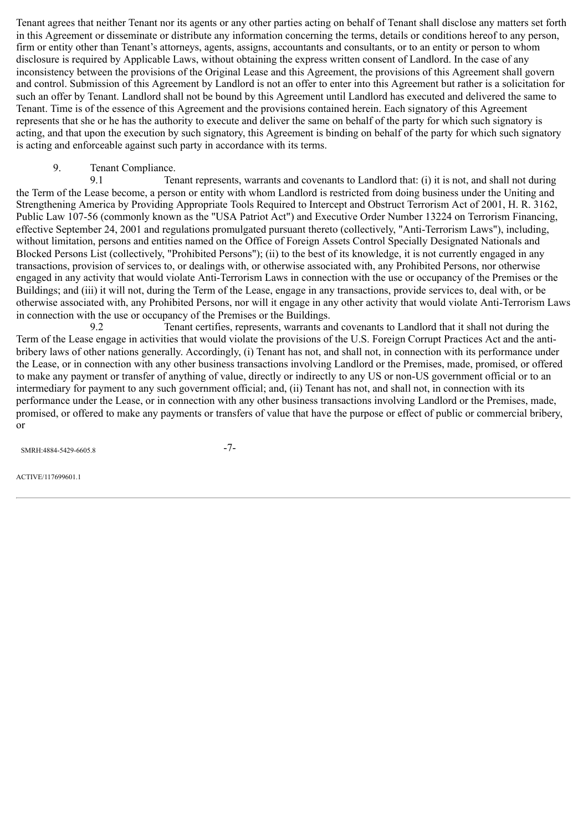Tenant agrees that neither Tenant nor its agents or any other parties acting on behalf of Tenant shall disclose any matters set forth in this Agreement or disseminate or distribute any information concerning the terms, details or conditions hereof to any person, firm or entity other than Tenant's attorneys, agents, assigns, accountants and consultants, or to an entity or person to whom disclosure is required by Applicable Laws, without obtaining the express written consent of Landlord. In the case of any inconsistency between the provisions of the Original Lease and this Agreement, the provisions of this Agreement shall govern and control. Submission of this Agreement by Landlord is not an offer to enter into this Agreement but rather is a solicitation for such an offer by Tenant. Landlord shall not be bound by this Agreement until Landlord has executed and delivered the same to Tenant. Time is of the essence of this Agreement and the provisions contained herein. Each signatory of this Agreement represents that she or he has the authority to execute and deliver the same on behalf of the party for which such signatory is acting, and that upon the execution by such signatory, this Agreement is binding on behalf of the party for which such signatory is acting and enforceable against such party in accordance with its terms.

# 9. Tenant Compliance.

9.1 Tenant represents, warrants and covenants to Landlord that: (i) it is not, and shall not during the Term of the Lease become, a person or entity with whom Landlord is restricted from doing business under the Uniting and Strengthening America by Providing Appropriate Tools Required to Intercept and Obstruct Terrorism Act of 2001, H. R. 3162, Public Law 107-56 (commonly known as the "USA Patriot Act") and Executive Order Number 13224 on Terrorism Financing, effective September 24, 2001 and regulations promulgated pursuant thereto (collectively, "Anti-Terrorism Laws"), including, without limitation, persons and entities named on the Office of Foreign Assets Control Specially Designated Nationals and Blocked Persons List (collectively, "Prohibited Persons"); (ii) to the best of its knowledge, it is not currently engaged in any transactions, provision of services to, or dealings with, or otherwise associated with, any Prohibited Persons, nor otherwise engaged in any activity that would violate Anti-Terrorism Laws in connection with the use or occupancy of the Premises or the Buildings; and (iii) it will not, during the Term of the Lease, engage in any transactions, provide services to, deal with, or be otherwise associated with, any Prohibited Persons, nor will it engage in any other activity that would violate Anti-Terrorism Laws in connection with the use or occupancy of the Premises or the Buildings.

9.2 Tenant certifies, represents, warrants and covenants to Landlord that it shall not during the Term of the Lease engage in activities that would violate the provisions of the U.S. Foreign Corrupt Practices Act and the antibribery laws of other nations generally. Accordingly, (i) Tenant has not, and shall not, in connection with its performance under the Lease, or in connection with any other business transactions involving Landlord or the Premises, made, promised, or offered to make any payment or transfer of anything of value, directly or indirectly to any US or non-US government official or to an intermediary for payment to any such government official; and, (ii) Tenant has not, and shall not, in connection with its performance under the Lease, or in connection with any other business transactions involving Landlord or the Premises, made, promised, or offered to make any payments or transfers of value that have the purpose or effect of public or commercial bribery, or

SMRH:4884-5429-6605.8 -7-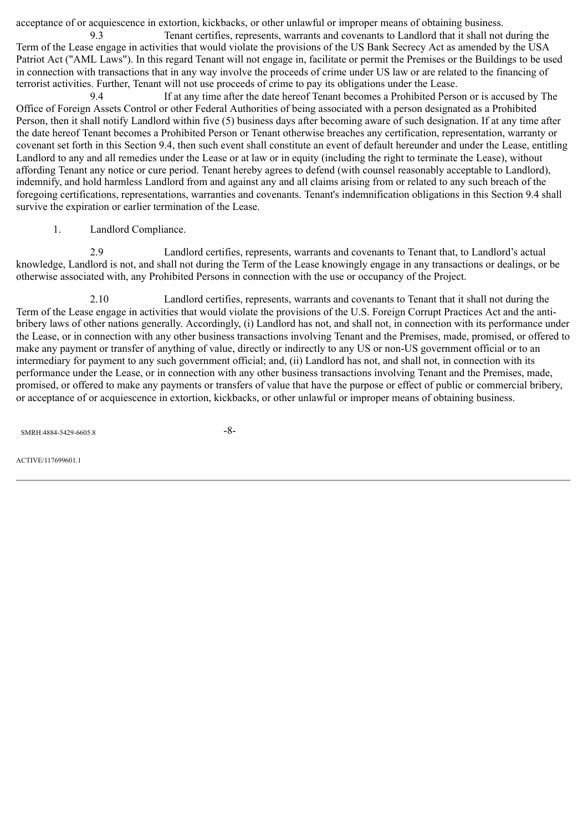acceptance of or acquiescence in extortion, kickbacks, or other unlawful or improper means of obtaining business.

9.3 Tenant certifies, represents, warrants and covenants to Landlord that it shall not during the Term of the Lease engage in activities that would violate the provisions of the US Bank Secrecy Act as amended by the USA Patriot Act ("AML Laws"). In this regard Tenant will not engage in, facilitate or permit the Premises or the Buildings to be used in connection with transactions that in any way involve the proceeds of crime under US law or are related to the financing of terrorist activities. Further, Tenant will not use proceeds of crime to pay its obligations under the Lease.

9.4 If at any time after the date hereof Tenant becomes a Prohibited Person or is accused by The Office of Foreign Assets Control or other Federal Authorities of being associated with a person designated as a Prohibited Person, then it shall notify Landlord within five (5) business days after becoming aware of such designation. If at any time after the date hereof Tenant becomes a Prohibited Person or Tenant otherwise breaches any certification, representation, warranty or covenant set forth in this Section 9.4, then such event shall constitute an event of default hereunder and under the Lease, entitling Landlord to any and all remedies under the Lease or at law or in equity (including the right to terminate the Lease), without affording Tenant any notice or cure period. Tenant hereby agrees to defend (with counsel reasonably acceptable to Landlord), indemnify, and hold harmless Landlord from and against any and all claims arising from or related to any such breach of the foregoing certifications, representations, warranties and covenants. Tenant's indemnification obligations in this Section 9.4 shall survive the expiration or earlier termination of the Lease.

1. Landlord Compliance.

2.9 Landlord certifies, represents, warrants and covenants to Tenant that, to Landlord's actual knowledge, Landlord is not, and shall not during the Term of the Lease knowingly engage in any transactions or dealings, or be otherwise associated with, any Prohibited Persons in connection with the use or occupancy of the Project.

2.10 Landlord certifies, represents, warrants and covenants to Tenant that it shall not during the Term of the Lease engage in activities that would violate the provisions of the U.S. Foreign Corrupt Practices Act and the antibribery laws of other nations generally. Accordingly, (i) Landlord has not, and shall not, in connection with its performance under the Lease, or in connection with any other business transactions involving Tenant and the Premises, made, promised, or offered to make any payment or transfer of anything of value, directly or indirectly to any US or non-US government official or to an intermediary for payment to any such government official; and, (ii) Landlord has not, and shall not, in connection with its performance under the Lease, or in connection with any other business transactions involving Tenant and the Premises, made, promised, or offered to make any payments or transfers of value that have the purpose or effect of public or commercial bribery, or acceptance of or acquiescence in extortion, kickbacks, or other unlawful or improper means of obtaining business.

 $SMRH-4884-5429-6605.8$  -8-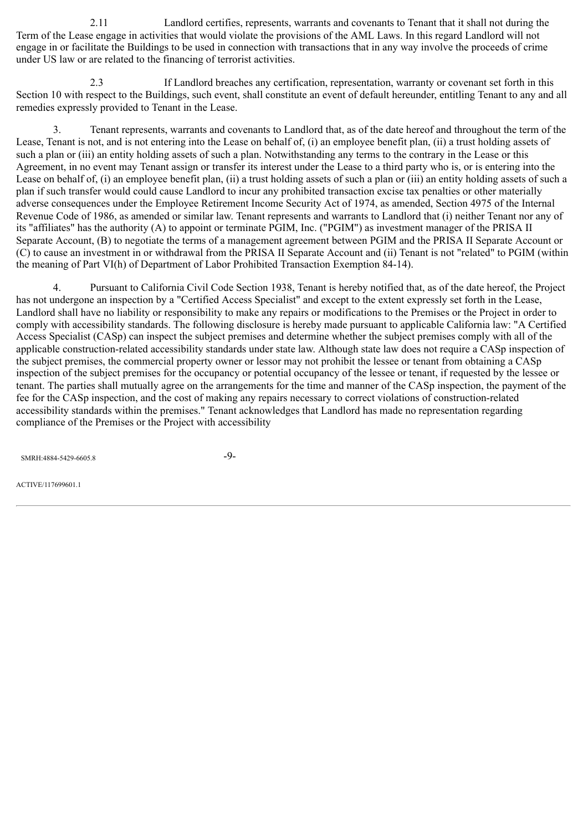2.11 Landlord certifies, represents, warrants and covenants to Tenant that it shall not during the Term of the Lease engage in activities that would violate the provisions of the AML Laws. In this regard Landlord will not engage in or facilitate the Buildings to be used in connection with transactions that in any way involve the proceeds of crime under US law or are related to the financing of terrorist activities.

2.3 If Landlord breaches any certification, representation, warranty or covenant set forth in this Section 10 with respect to the Buildings, such event, shall constitute an event of default hereunder, entitling Tenant to any and all remedies expressly provided to Tenant in the Lease.

3. Tenant represents, warrants and covenants to Landlord that, as of the date hereof and throughout the term of the Lease, Tenant is not, and is not entering into the Lease on behalf of, (i) an employee benefit plan, (ii) a trust holding assets of such a plan or (iii) an entity holding assets of such a plan. Notwithstanding any terms to the contrary in the Lease or this Agreement, in no event may Tenant assign or transfer its interest under the Lease to a third party who is, or is entering into the Lease on behalf of, (i) an employee benefit plan, (ii) a trust holding assets of such a plan or (iii) an entity holding assets of such a plan if such transfer would could cause Landlord to incur any prohibited transaction excise tax penalties or other materially adverse consequences under the Employee Retirement Income Security Act of 1974, as amended, Section 4975 of the Internal Revenue Code of 1986, as amended or similar law. Tenant represents and warrants to Landlord that (i) neither Tenant nor any of its "affiliates" has the authority (A) to appoint or terminate PGIM, Inc. ("PGIM") as investment manager of the PRISA II Separate Account, (B) to negotiate the terms of a management agreement between PGIM and the PRISA II Separate Account or (C) to cause an investment in or withdrawal from the PRISA II Separate Account and (ii) Tenant is not "related" to PGIM (within the meaning of Part VI(h) of Department of Labor Prohibited Transaction Exemption 84-14).

4. Pursuant to California Civil Code Section 1938, Tenant is hereby notified that, as of the date hereof, the Project has not undergone an inspection by a "Certified Access Specialist" and except to the extent expressly set forth in the Lease, Landlord shall have no liability or responsibility to make any repairs or modifications to the Premises or the Project in order to comply with accessibility standards. The following disclosure is hereby made pursuant to applicable California law: "A Certified Access Specialist (CASp) can inspect the subject premises and determine whether the subject premises comply with all of the applicable construction-related accessibility standards under state law. Although state law does not require a CASp inspection of the subject premises, the commercial property owner or lessor may not prohibit the lessee or tenant from obtaining a CASp inspection of the subject premises for the occupancy or potential occupancy of the lessee or tenant, if requested by the lessee or tenant. The parties shall mutually agree on the arrangements for the time and manner of the CASp inspection, the payment of the fee for the CASp inspection, and the cost of making any repairs necessary to correct violations of construction-related accessibility standards within the premises." Tenant acknowledges that Landlord has made no representation regarding compliance of the Premises or the Project with accessibility

SMRH:4884-5429-6605.8 -9-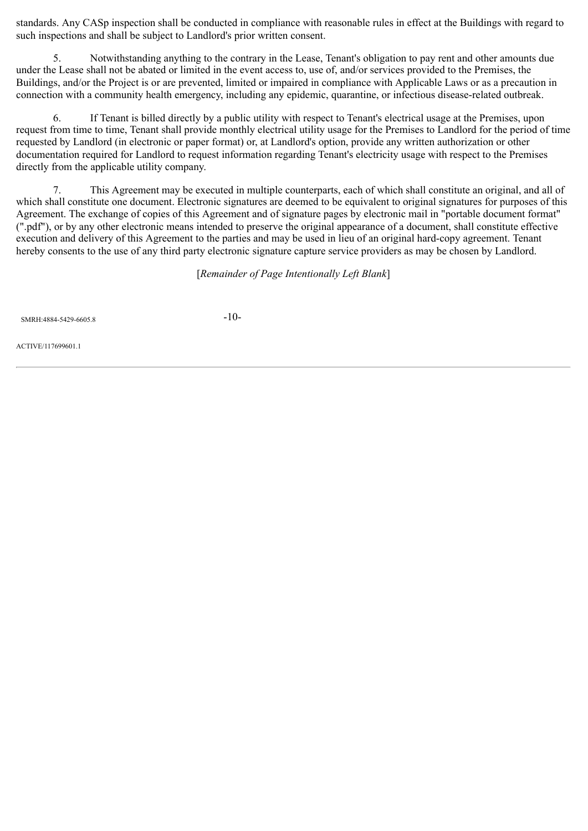standards. Any CASp inspection shall be conducted in compliance with reasonable rules in effect at the Buildings with regard to such inspections and shall be subject to Landlord's prior written consent.

5. Notwithstanding anything to the contrary in the Lease, Tenant's obligation to pay rent and other amounts due under the Lease shall not be abated or limited in the event access to, use of, and/or services provided to the Premises, the Buildings, and/or the Project is or are prevented, limited or impaired in compliance with Applicable Laws or as a precaution in connection with a community health emergency, including any epidemic, quarantine, or infectious disease-related outbreak.

6. If Tenant is billed directly by a public utility with respect to Tenant's electrical usage at the Premises, upon request from time to time, Tenant shall provide monthly electrical utility usage for the Premises to Landlord for the period of time requested by Landlord (in electronic or paper format) or, at Landlord's option, provide any written authorization or other documentation required for Landlord to request information regarding Tenant's electricity usage with respect to the Premises directly from the applicable utility company.

7. This Agreement may be executed in multiple counterparts, each of which shall constitute an original, and all of which shall constitute one document. Electronic signatures are deemed to be equivalent to original signatures for purposes of this Agreement. The exchange of copies of this Agreement and of signature pages by electronic mail in "portable document format" (".pdf"), or by any other electronic means intended to preserve the original appearance of a document, shall constitute effective execution and delivery of this Agreement to the parties and may be used in lieu of an original hard-copy agreement. Tenant hereby consents to the use of any third party electronic signature capture service providers as may be chosen by Landlord.

[*Remainder of Page Intentionally Left Blank*]

SMRH:4884-5429-6605.8 -10-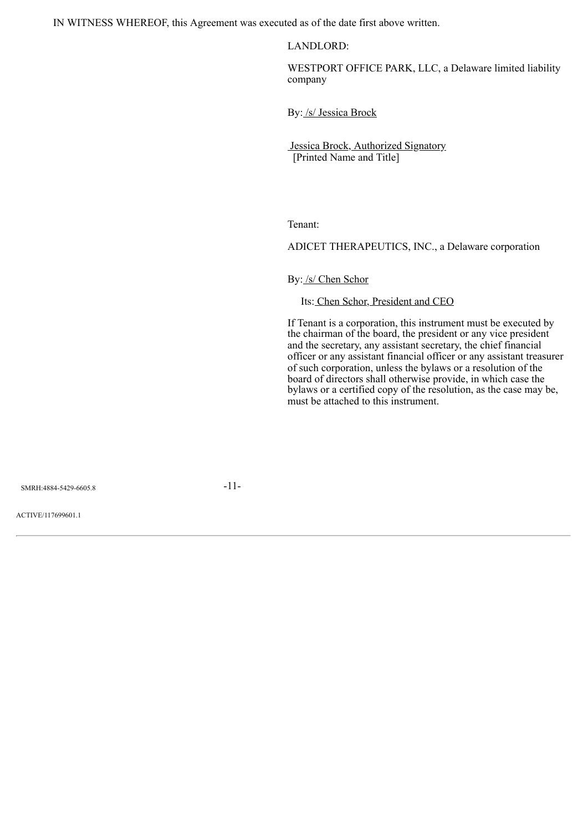IN WITNESS WHEREOF, this Agreement was executed as of the date first above written.

LANDLORD:

WESTPORT OFFICE PARK, LLC, a Delaware limited liability company

By: /s/ Jessica Brock

Jessica Brock, Authorized Signatory [Printed Name and Title]

Tenant:

ADICET THERAPEUTICS, INC., a Delaware corporation

By: /s/ Chen Schor

Its: Chen Schor, President and CEO

If Tenant is a corporation, this instrument must be executed by the chairman of the board, the president or any vice president and the secretary, any assistant secretary, the chief financial officer or any assistant financial officer or any assistant treasurer of such corporation, unless the bylaws or a resolution of the board of directors shall otherwise provide, in which case the bylaws or a certified copy of the resolution, as the case may be, must be attached to this instrument.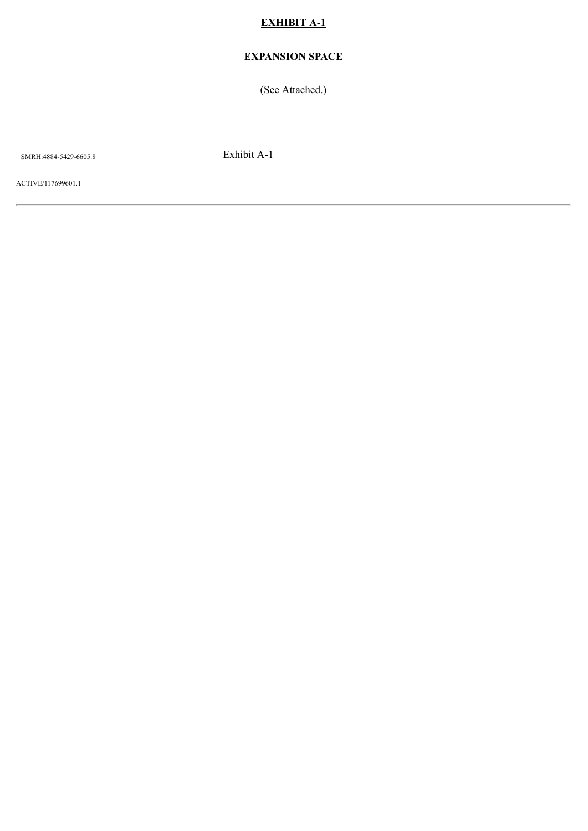# **EXHIBIT A-1**

# **EXPANSION SPACE**

(See Attached.)

SMRH:4884-5429-6605.8 Exhibit A-1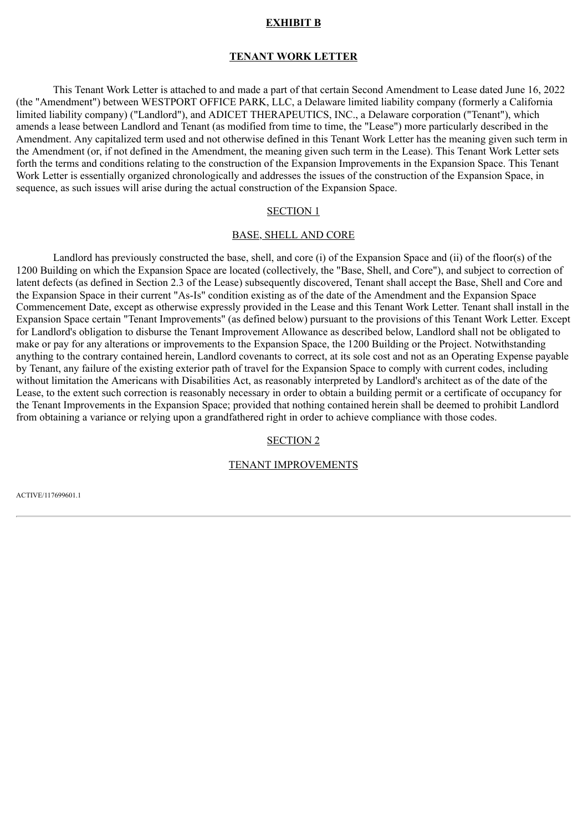#### **EXHIBIT B**

#### **TENANT WORK LETTER**

This Tenant Work Letter is attached to and made a part of that certain Second Amendment to Lease dated June 16, 2022 (the "Amendment") between WESTPORT OFFICE PARK, LLC, a Delaware limited liability company (formerly a California limited liability company) ("Landlord"), and ADICET THERAPEUTICS, INC., a Delaware corporation ("Tenant"), which amends a lease between Landlord and Tenant (as modified from time to time, the "Lease") more particularly described in the Amendment. Any capitalized term used and not otherwise defined in this Tenant Work Letter has the meaning given such term in the Amendment (or, if not defined in the Amendment, the meaning given such term in the Lease). This Tenant Work Letter sets forth the terms and conditions relating to the construction of the Expansion Improvements in the Expansion Space. This Tenant Work Letter is essentially organized chronologically and addresses the issues of the construction of the Expansion Space, in sequence, as such issues will arise during the actual construction of the Expansion Space.

#### SECTION 1

#### BASE, SHELL AND CORE

Landlord has previously constructed the base, shell, and core (i) of the Expansion Space and (ii) of the floor(s) of the 1200 Building on which the Expansion Space are located (collectively, the "Base, Shell, and Core"), and subject to correction of latent defects (as defined in Section 2.3 of the Lease) subsequently discovered, Tenant shall accept the Base, Shell and Core and the Expansion Space in their current "As-Is" condition existing as of the date of the Amendment and the Expansion Space Commencement Date, except as otherwise expressly provided in the Lease and this Tenant Work Letter. Tenant shall install in the Expansion Space certain "Tenant Improvements" (as defined below) pursuant to the provisions of this Tenant Work Letter. Except for Landlord's obligation to disburse the Tenant Improvement Allowance as described below, Landlord shall not be obligated to make or pay for any alterations or improvements to the Expansion Space, the 1200 Building or the Project. Notwithstanding anything to the contrary contained herein, Landlord covenants to correct, at its sole cost and not as an Operating Expense payable by Tenant, any failure of the existing exterior path of travel for the Expansion Space to comply with current codes, including without limitation the Americans with Disabilities Act, as reasonably interpreted by Landlord's architect as of the date of the Lease, to the extent such correction is reasonably necessary in order to obtain a building permit or a certificate of occupancy for the Tenant Improvements in the Expansion Space; provided that nothing contained herein shall be deemed to prohibit Landlord from obtaining a variance or relying upon a grandfathered right in order to achieve compliance with those codes.

#### SECTION 2

# TENANT IMPROVEMENTS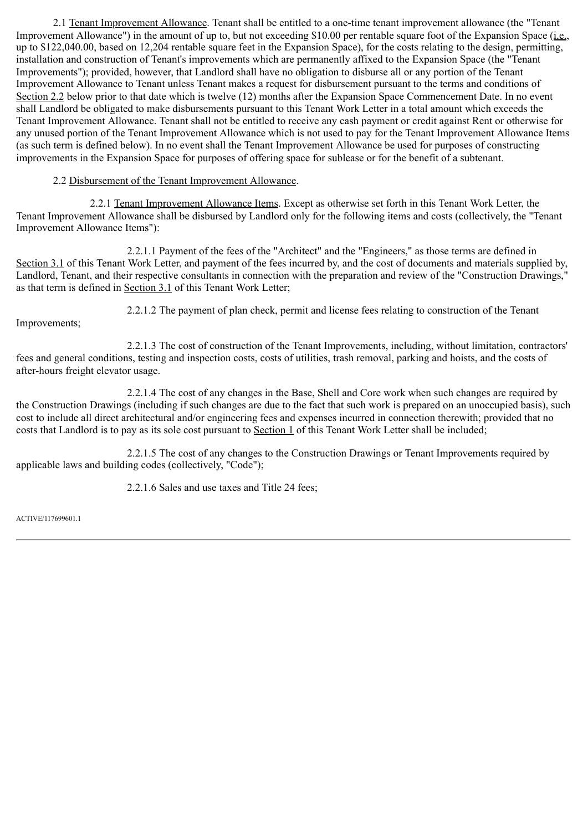2.1 Tenant Improvement Allowance. Tenant shall be entitled to a one-time tenant improvement allowance (the "Tenant Improvement Allowance") in the amount of up to, but not exceeding \$10.00 per rentable square foot of the Expansion Space (i.e., up to \$122,040.00, based on 12,204 rentable square feet in the Expansion Space), for the costs relating to the design, permitting, installation and construction of Tenant's improvements which are permanently affixed to the Expansion Space (the "Tenant Improvements"); provided, however, that Landlord shall have no obligation to disburse all or any portion of the Tenant Improvement Allowance to Tenant unless Tenant makes a request for disbursement pursuant to the terms and conditions of Section 2.2 below prior to that date which is twelve (12) months after the Expansion Space Commencement Date. In no event shall Landlord be obligated to make disbursements pursuant to this Tenant Work Letter in a total amount which exceeds the Tenant Improvement Allowance. Tenant shall not be entitled to receive any cash payment or credit against Rent or otherwise for any unused portion of the Tenant Improvement Allowance which is not used to pay for the Tenant Improvement Allowance Items (as such term is defined below). In no event shall the Tenant Improvement Allowance be used for purposes of constructing improvements in the Expansion Space for purposes of offering space for sublease or for the benefit of a subtenant.

# 2.2 Disbursement of the Tenant Improvement Allowance.

2.2.1 Tenant Improvement Allowance Items. Except as otherwise set forth in this Tenant Work Letter, the Tenant Improvement Allowance shall be disbursed by Landlord only for the following items and costs (collectively, the "Tenant Improvement Allowance Items"):

2.2.1.1 Payment of the fees of the "Architect" and the "Engineers," as those terms are defined in Section 3.1 of this Tenant Work Letter, and payment of the fees incurred by, and the cost of documents and materials supplied by, Landlord, Tenant, and their respective consultants in connection with the preparation and review of the "Construction Drawings," as that term is defined in Section 3.1 of this Tenant Work Letter;

Improvements;

2.2.1.2 The payment of plan check, permit and license fees relating to construction of the Tenant

2.2.1.3 The cost of construction of the Tenant Improvements, including, without limitation, contractors' fees and general conditions, testing and inspection costs, costs of utilities, trash removal, parking and hoists, and the costs of after-hours freight elevator usage.

2.2.1.4 The cost of any changes in the Base, Shell and Core work when such changes are required by the Construction Drawings (including if such changes are due to the fact that such work is prepared on an unoccupied basis), such cost to include all direct architectural and/or engineering fees and expenses incurred in connection therewith; provided that no costs that Landlord is to pay as its sole cost pursuant to Section 1 of this Tenant Work Letter shall be included;

2.2.1.5 The cost of any changes to the Construction Drawings or Tenant Improvements required by applicable laws and building codes (collectively, "Code");

2.2.1.6 Sales and use taxes and Title 24 fees;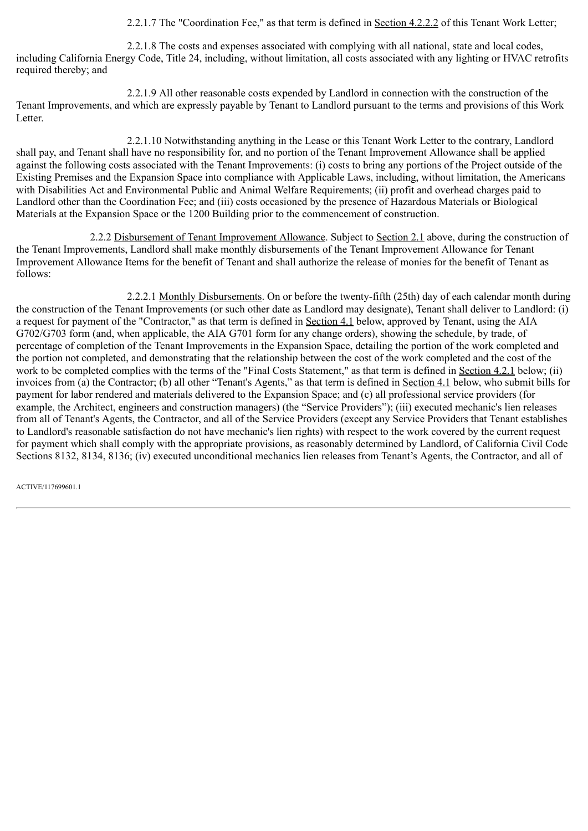2.2.1.7 The "Coordination Fee," as that term is defined in Section 4.2.2.2 of this Tenant Work Letter;

2.2.1.8 The costs and expenses associated with complying with all national, state and local codes, including California Energy Code, Title 24, including, without limitation, all costs associated with any lighting or HVAC retrofits required thereby; and

2.2.1.9 All other reasonable costs expended by Landlord in connection with the construction of the Tenant Improvements, and which are expressly payable by Tenant to Landlord pursuant to the terms and provisions of this Work Letter.

2.2.1.10 Notwithstanding anything in the Lease or this Tenant Work Letter to the contrary, Landlord shall pay, and Tenant shall have no responsibility for, and no portion of the Tenant Improvement Allowance shall be applied against the following costs associated with the Tenant Improvements: (i) costs to bring any portions of the Project outside of the Existing Premises and the Expansion Space into compliance with Applicable Laws, including, without limitation, the Americans with Disabilities Act and Environmental Public and Animal Welfare Requirements; (ii) profit and overhead charges paid to Landlord other than the Coordination Fee; and (iii) costs occasioned by the presence of Hazardous Materials or Biological Materials at the Expansion Space or the 1200 Building prior to the commencement of construction.

2.2.2 Disbursement of Tenant Improvement Allowance. Subject to Section 2.1 above, during the construction of the Tenant Improvements, Landlord shall make monthly disbursements of the Tenant Improvement Allowance for Tenant Improvement Allowance Items for the benefit of Tenant and shall authorize the release of monies for the benefit of Tenant as follows:

2.2.2.1 Monthly Disbursements. On or before the twenty-fifth (25th) day of each calendar month during the construction of the Tenant Improvements (or such other date as Landlord may designate), Tenant shall deliver to Landlord: (i) a request for payment of the "Contractor," as that term is defined in Section 4.1 below, approved by Tenant, using the AIA G702/G703 form (and, when applicable, the AIA G701 form for any change orders), showing the schedule, by trade, of percentage of completion of the Tenant Improvements in the Expansion Space, detailing the portion of the work completed and the portion not completed, and demonstrating that the relationship between the cost of the work completed and the cost of the work to be completed complies with the terms of the "Final Costs Statement," as that term is defined in Section 4.2.1 below; (ii) invoices from (a) the Contractor; (b) all other "Tenant's Agents," as that term is defined in Section 4.1 below, who submit bills for payment for labor rendered and materials delivered to the Expansion Space; and (c) all professional service providers (for example, the Architect, engineers and construction managers) (the "Service Providers"); (iii) executed mechanic's lien releases from all of Tenant's Agents, the Contractor, and all of the Service Providers (except any Service Providers that Tenant establishes to Landlord's reasonable satisfaction do not have mechanic's lien rights) with respect to the work covered by the current request for payment which shall comply with the appropriate provisions, as reasonably determined by Landlord, of California Civil Code Sections 8132, 8134, 8136; (iv) executed unconditional mechanics lien releases from Tenant's Agents, the Contractor, and all of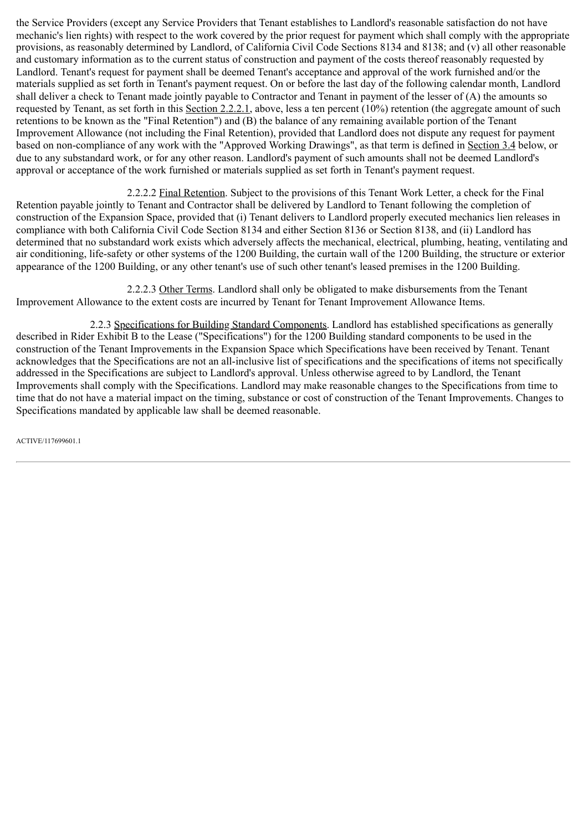the Service Providers (except any Service Providers that Tenant establishes to Landlord's reasonable satisfaction do not have mechanic's lien rights) with respect to the work covered by the prior request for payment which shall comply with the appropriate provisions, as reasonably determined by Landlord, of California Civil Code Sections 8134 and 8138; and (v) all other reasonable and customary information as to the current status of construction and payment of the costs thereof reasonably requested by Landlord. Tenant's request for payment shall be deemed Tenant's acceptance and approval of the work furnished and/or the materials supplied as set forth in Tenant's payment request. On or before the last day of the following calendar month, Landlord shall deliver a check to Tenant made jointly payable to Contractor and Tenant in payment of the lesser of (A) the amounts so requested by Tenant, as set forth in this Section 2.2.2.1, above, less a ten percent  $(10\%)$  retention (the aggregate amount of such retentions to be known as the "Final Retention") and (B) the balance of any remaining available portion of the Tenant Improvement Allowance (not including the Final Retention), provided that Landlord does not dispute any request for payment based on non-compliance of any work with the "Approved Working Drawings", as that term is defined in Section 3.4 below, or due to any substandard work, or for any other reason. Landlord's payment of such amounts shall not be deemed Landlord's approval or acceptance of the work furnished or materials supplied as set forth in Tenant's payment request.

2.2.2.2 Final Retention. Subject to the provisions of this Tenant Work Letter, a check for the Final Retention payable jointly to Tenant and Contractor shall be delivered by Landlord to Tenant following the completion of construction of the Expansion Space, provided that (i) Tenant delivers to Landlord properly executed mechanics lien releases in compliance with both California Civil Code Section 8134 and either Section 8136 or Section 8138, and (ii) Landlord has determined that no substandard work exists which adversely affects the mechanical, electrical, plumbing, heating, ventilating and air conditioning, life-safety or other systems of the 1200 Building, the curtain wall of the 1200 Building, the structure or exterior appearance of the 1200 Building, or any other tenant's use of such other tenant's leased premises in the 1200 Building.

2.2.2.3 Other Terms. Landlord shall only be obligated to make disbursements from the Tenant Improvement Allowance to the extent costs are incurred by Tenant for Tenant Improvement Allowance Items.

2.2.3 Specifications for Building Standard Components. Landlord has established specifications as generally described in Rider Exhibit B to the Lease ("Specifications") for the 1200 Building standard components to be used in the construction of the Tenant Improvements in the Expansion Space which Specifications have been received by Tenant. Tenant acknowledges that the Specifications are not an all-inclusive list of specifications and the specifications of items not specifically addressed in the Specifications are subject to Landlord's approval. Unless otherwise agreed to by Landlord, the Tenant Improvements shall comply with the Specifications. Landlord may make reasonable changes to the Specifications from time to time that do not have a material impact on the timing, substance or cost of construction of the Tenant Improvements. Changes to Specifications mandated by applicable law shall be deemed reasonable.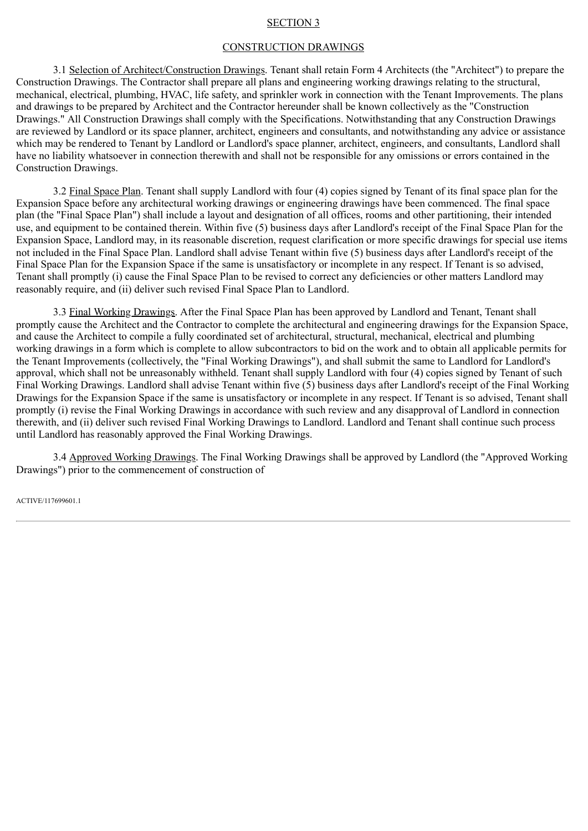#### SECTION 3

#### CONSTRUCTION DRAWINGS

3.1 Selection of Architect/Construction Drawings. Tenant shall retain Form 4 Architects (the "Architect") to prepare the Construction Drawings. The Contractor shall prepare all plans and engineering working drawings relating to the structural, mechanical, electrical, plumbing, HVAC, life safety, and sprinkler work in connection with the Tenant Improvements. The plans and drawings to be prepared by Architect and the Contractor hereunder shall be known collectively as the "Construction Drawings." All Construction Drawings shall comply with the Specifications. Notwithstanding that any Construction Drawings are reviewed by Landlord or its space planner, architect, engineers and consultants, and notwithstanding any advice or assistance which may be rendered to Tenant by Landlord or Landlord's space planner, architect, engineers, and consultants, Landlord shall have no liability whatsoever in connection therewith and shall not be responsible for any omissions or errors contained in the Construction Drawings.

3.2 Final Space Plan. Tenant shall supply Landlord with four (4) copies signed by Tenant of its final space plan for the Expansion Space before any architectural working drawings or engineering drawings have been commenced. The final space plan (the "Final Space Plan") shall include a layout and designation of all offices, rooms and other partitioning, their intended use, and equipment to be contained therein. Within five (5) business days after Landlord's receipt of the Final Space Plan for the Expansion Space, Landlord may, in its reasonable discretion, request clarification or more specific drawings for special use items not included in the Final Space Plan. Landlord shall advise Tenant within five (5) business days after Landlord's receipt of the Final Space Plan for the Expansion Space if the same is unsatisfactory or incomplete in any respect. If Tenant is so advised, Tenant shall promptly (i) cause the Final Space Plan to be revised to correct any deficiencies or other matters Landlord may reasonably require, and (ii) deliver such revised Final Space Plan to Landlord.

3.3 Final Working Drawings. After the Final Space Plan has been approved by Landlord and Tenant, Tenant shall promptly cause the Architect and the Contractor to complete the architectural and engineering drawings for the Expansion Space, and cause the Architect to compile a fully coordinated set of architectural, structural, mechanical, electrical and plumbing working drawings in a form which is complete to allow subcontractors to bid on the work and to obtain all applicable permits for the Tenant Improvements (collectively, the "Final Working Drawings"), and shall submit the same to Landlord for Landlord's approval, which shall not be unreasonably withheld. Tenant shall supply Landlord with four (4) copies signed by Tenant of such Final Working Drawings. Landlord shall advise Tenant within five  $(5)$  business days after Landlord's receipt of the Final Working Drawings for the Expansion Space if the same is unsatisfactory or incomplete in any respect. If Tenant is so advised, Tenant shall promptly (i) revise the Final Working Drawings in accordance with such review and any disapproval of Landlord in connection therewith, and (ii) deliver such revised Final Working Drawings to Landlord. Landlord and Tenant shall continue such process until Landlord has reasonably approved the Final Working Drawings.

3.4 Approved Working Drawings. The Final Working Drawings shall be approved by Landlord (the "Approved Working Drawings") prior to the commencement of construction of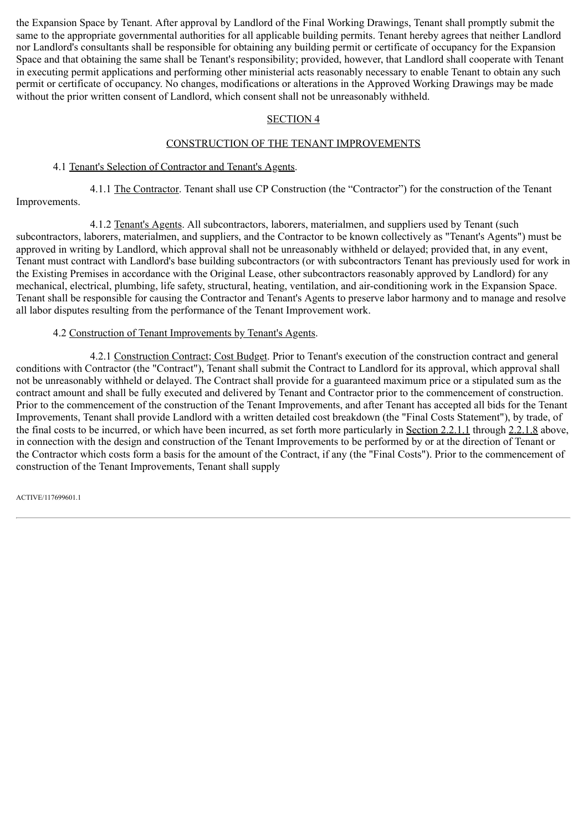the Expansion Space by Tenant. After approval by Landlord of the Final Working Drawings, Tenant shall promptly submit the same to the appropriate governmental authorities for all applicable building permits. Tenant hereby agrees that neither Landlord nor Landlord's consultants shall be responsible for obtaining any building permit or certificate of occupancy for the Expansion Space and that obtaining the same shall be Tenant's responsibility; provided, however, that Landlord shall cooperate with Tenant in executing permit applications and performing other ministerial acts reasonably necessary to enable Tenant to obtain any such permit or certificate of occupancy. No changes, modifications or alterations in the Approved Working Drawings may be made without the prior written consent of Landlord, which consent shall not be unreasonably withheld.

# SECTION 4

# CONSTRUCTION OF THE TENANT IMPROVEMENTS

## 4.1 Tenant's Selection of Contractor and Tenant's Agents.

4.1.1 The Contractor. Tenant shall use CP Construction (the "Contractor") for the construction of the Tenant Improvements.

4.1.2 Tenant's Agents. All subcontractors, laborers, materialmen, and suppliers used by Tenant (such subcontractors, laborers, materialmen, and suppliers, and the Contractor to be known collectively as "Tenant's Agents") must be approved in writing by Landlord, which approval shall not be unreasonably withheld or delayed; provided that, in any event, Tenant must contract with Landlord's base building subcontractors (or with subcontractors Tenant has previously used for work in the Existing Premises in accordance with the Original Lease, other subcontractors reasonably approved by Landlord) for any mechanical, electrical, plumbing, life safety, structural, heating, ventilation, and air-conditioning work in the Expansion Space. Tenant shall be responsible for causing the Contractor and Tenant's Agents to preserve labor harmony and to manage and resolve all labor disputes resulting from the performance of the Tenant Improvement work.

#### 4.2 Construction of Tenant Improvements by Tenant's Agents.

4.2.1 Construction Contract; Cost Budget. Prior to Tenant's execution of the construction contract and general conditions with Contractor (the "Contract"), Tenant shall submit the Contract to Landlord for its approval, which approval shall not be unreasonably withheld or delayed. The Contract shall provide for a guaranteed maximum price or a stipulated sum as the contract amount and shall be fully executed and delivered by Tenant and Contractor prior to the commencement of construction. Prior to the commencement of the construction of the Tenant Improvements, and after Tenant has accepted all bids for the Tenant Improvements, Tenant shall provide Landlord with a written detailed cost breakdown (the "Final Costs Statement"), by trade, of the final costs to be incurred, or which have been incurred, as set forth more particularly in Section 2.2.1.1 through 2.2.1.8 above, in connection with the design and construction of the Tenant Improvements to be performed by or at the direction of Tenant or the Contractor which costs form a basis for the amount of the Contract, if any (the "Final Costs"). Prior to the commencement of construction of the Tenant Improvements, Tenant shall supply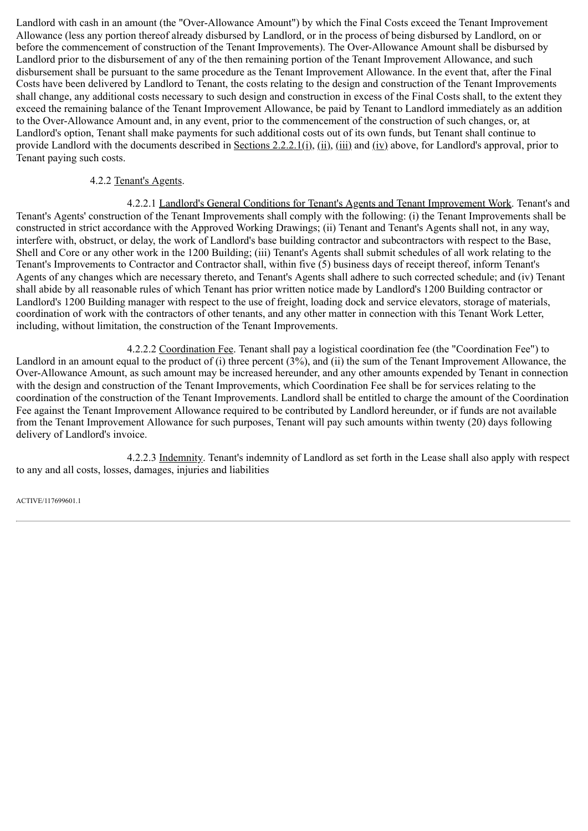Landlord with cash in an amount (the "Over-Allowance Amount") by which the Final Costs exceed the Tenant Improvement Allowance (less any portion thereof already disbursed by Landlord, or in the process of being disbursed by Landlord, on or before the commencement of construction of the Tenant Improvements). The Over-Allowance Amount shall be disbursed by Landlord prior to the disbursement of any of the then remaining portion of the Tenant Improvement Allowance, and such disbursement shall be pursuant to the same procedure as the Tenant Improvement Allowance. In the event that, after the Final Costs have been delivered by Landlord to Tenant, the costs relating to the design and construction of the Tenant Improvements shall change, any additional costs necessary to such design and construction in excess of the Final Costs shall, to the extent they exceed the remaining balance of the Tenant Improvement Allowance, be paid by Tenant to Landlord immediately as an addition to the Over-Allowance Amount and, in any event, prior to the commencement of the construction of such changes, or, at Landlord's option, Tenant shall make payments for such additional costs out of its own funds, but Tenant shall continue to provide Landlord with the documents described in Sections 2.2.2.1(i), (ii), (iii) and (iv) above, for Landlord's approval, prior to Tenant paying such costs.

# 4.2.2 Tenant's Agents.

4.2.2.1 Landlord's General Conditions for Tenant's Agents and Tenant Improvement Work. Tenant's and Tenant's Agents' construction of the Tenant Improvements shall comply with the following: (i) the Tenant Improvements shall be constructed in strict accordance with the Approved Working Drawings; (ii) Tenant and Tenant's Agents shall not, in any way, interfere with, obstruct, or delay, the work of Landlord's base building contractor and subcontractors with respect to the Base, Shell and Core or any other work in the 1200 Building; (iii) Tenant's Agents shall submit schedules of all work relating to the Tenant's Improvements to Contractor and Contractor shall, within five (5) business days of receipt thereof, inform Tenant's Agents of any changes which are necessary thereto, and Tenant's Agents shall adhere to such corrected schedule; and (iv) Tenant shall abide by all reasonable rules of which Tenant has prior written notice made by Landlord's 1200 Building contractor or Landlord's 1200 Building manager with respect to the use of freight, loading dock and service elevators, storage of materials, coordination of work with the contractors of other tenants, and any other matter in connection with this Tenant Work Letter, including, without limitation, the construction of the Tenant Improvements.

4.2.2.2 Coordination Fee. Tenant shall pay a logistical coordination fee (the "Coordination Fee") to Landlord in an amount equal to the product of (i) three percent (3%), and (ii) the sum of the Tenant Improvement Allowance, the Over-Allowance Amount, as such amount may be increased hereunder, and any other amounts expended by Tenant in connection with the design and construction of the Tenant Improvements, which Coordination Fee shall be for services relating to the coordination of the construction of the Tenant Improvements. Landlord shall be entitled to charge the amount of the Coordination Fee against the Tenant Improvement Allowance required to be contributed by Landlord hereunder, or if funds are not available from the Tenant Improvement Allowance for such purposes, Tenant will pay such amounts within twenty (20) days following delivery of Landlord's invoice.

4.2.2.3 Indemnity. Tenant's indemnity of Landlord as set forth in the Lease shall also apply with respect to any and all costs, losses, damages, injuries and liabilities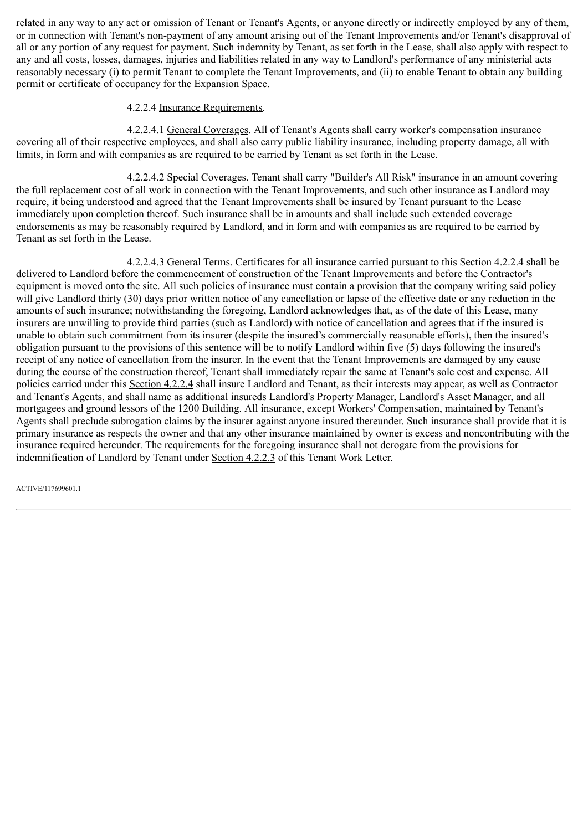related in any way to any act or omission of Tenant or Tenant's Agents, or anyone directly or indirectly employed by any of them, or in connection with Tenant's non-payment of any amount arising out of the Tenant Improvements and/or Tenant's disapproval of all or any portion of any request for payment. Such indemnity by Tenant, as set forth in the Lease, shall also apply with respect to any and all costs, losses, damages, injuries and liabilities related in any way to Landlord's performance of any ministerial acts reasonably necessary (i) to permit Tenant to complete the Tenant Improvements, and (ii) to enable Tenant to obtain any building permit or certificate of occupancy for the Expansion Space.

# 4.2.2.4 Insurance Requirements.

4.2.2.4.1 General Coverages. All of Tenant's Agents shall carry worker's compensation insurance covering all of their respective employees, and shall also carry public liability insurance, including property damage, all with limits, in form and with companies as are required to be carried by Tenant as set forth in the Lease.

4.2.2.4.2 Special Coverages. Tenant shall carry "Builder's All Risk" insurance in an amount covering the full replacement cost of all work in connection with the Tenant Improvements, and such other insurance as Landlord may require, it being understood and agreed that the Tenant Improvements shall be insured by Tenant pursuant to the Lease immediately upon completion thereof. Such insurance shall be in amounts and shall include such extended coverage endorsements as may be reasonably required by Landlord, and in form and with companies as are required to be carried by Tenant as set forth in the Lease.

4.2.2.4.3 General Terms. Certificates for all insurance carried pursuant to this Section 4.2.2.4 shall be delivered to Landlord before the commencement of construction of the Tenant Improvements and before the Contractor's equipment is moved onto the site. All such policies of insurance must contain a provision that the company writing said policy will give Landlord thirty (30) days prior written notice of any cancellation or lapse of the effective date or any reduction in the amounts of such insurance; notwithstanding the foregoing, Landlord acknowledges that, as of the date of this Lease, many insurers are unwilling to provide third parties (such as Landlord) with notice of cancellation and agrees that if the insured is unable to obtain such commitment from its insurer (despite the insured's commercially reasonable efforts), then the insured's obligation pursuant to the provisions of this sentence will be to notify Landlord within five (5) days following the insured's receipt of any notice of cancellation from the insurer. In the event that the Tenant Improvements are damaged by any cause during the course of the construction thereof, Tenant shall immediately repair the same at Tenant's sole cost and expense. All policies carried under this Section 4.2.2.4 shall insure Landlord and Tenant, as their interests may appear, as well as Contractor and Tenant's Agents, and shall name as additional insureds Landlord's Property Manager, Landlord's Asset Manager, and all mortgagees and ground lessors of the 1200 Building. All insurance, except Workers' Compensation, maintained by Tenant's Agents shall preclude subrogation claims by the insurer against anyone insured thereunder. Such insurance shall provide that it is primary insurance as respects the owner and that any other insurance maintained by owner is excess and noncontributing with the insurance required hereunder. The requirements for the foregoing insurance shall not derogate from the provisions for indemnification of Landlord by Tenant under Section 4.2.2.3 of this Tenant Work Letter.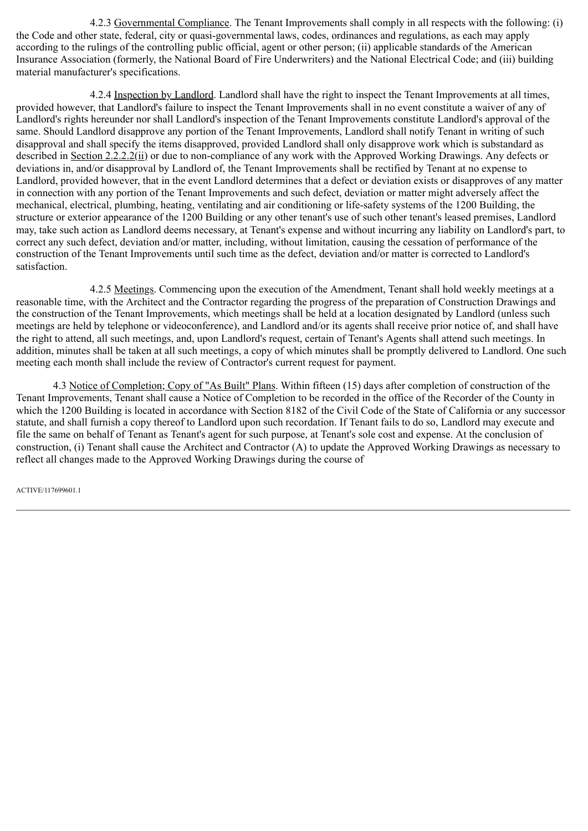4.2.3 Governmental Compliance. The Tenant Improvements shall comply in all respects with the following: (i) the Code and other state, federal, city or quasi-governmental laws, codes, ordinances and regulations, as each may apply according to the rulings of the controlling public official, agent or other person; (ii) applicable standards of the American Insurance Association (formerly, the National Board of Fire Underwriters) and the National Electrical Code; and (iii) building material manufacturer's specifications.

4.2.4 Inspection by Landlord. Landlord shall have the right to inspect the Tenant Improvements at all times, provided however, that Landlord's failure to inspect the Tenant Improvements shall in no event constitute a waiver of any of Landlord's rights hereunder nor shall Landlord's inspection of the Tenant Improvements constitute Landlord's approval of the same. Should Landlord disapprove any portion of the Tenant Improvements, Landlord shall notify Tenant in writing of such disapproval and shall specify the items disapproved, provided Landlord shall only disapprove work which is substandard as described in Section 2.2.2.2(ii) or due to non-compliance of any work with the Approved Working Drawings. Any defects or deviations in, and/or disapproval by Landlord of, the Tenant Improvements shall be rectified by Tenant at no expense to Landlord, provided however, that in the event Landlord determines that a defect or deviation exists or disapproves of any matter in connection with any portion of the Tenant Improvements and such defect, deviation or matter might adversely affect the mechanical, electrical, plumbing, heating, ventilating and air conditioning or life-safety systems of the 1200 Building, the structure or exterior appearance of the 1200 Building or any other tenant's use of such other tenant's leased premises, Landlord may, take such action as Landlord deems necessary, at Tenant's expense and without incurring any liability on Landlord's part, to correct any such defect, deviation and/or matter, including, without limitation, causing the cessation of performance of the construction of the Tenant Improvements until such time as the defect, deviation and/or matter is corrected to Landlord's satisfaction.

4.2.5 Meetings. Commencing upon the execution of the Amendment, Tenant shall hold weekly meetings at a reasonable time, with the Architect and the Contractor regarding the progress of the preparation of Construction Drawings and the construction of the Tenant Improvements, which meetings shall be held at a location designated by Landlord (unless such meetings are held by telephone or videoconference), and Landlord and/or its agents shall receive prior notice of, and shall have the right to attend, all such meetings, and, upon Landlord's request, certain of Tenant's Agents shall attend such meetings. In addition, minutes shall be taken at all such meetings, a copy of which minutes shall be promptly delivered to Landlord. One such meeting each month shall include the review of Contractor's current request for payment.

4.3 Notice of Completion; Copy of "As Built" Plans. Within fifteen (15) days after completion of construction of the Tenant Improvements, Tenant shall cause a Notice of Completion to be recorded in the office of the Recorder of the County in which the 1200 Building is located in accordance with Section 8182 of the Civil Code of the State of California or any successor statute, and shall furnish a copy thereof to Landlord upon such recordation. If Tenant fails to do so, Landlord may execute and file the same on behalf of Tenant as Tenant's agent for such purpose, at Tenant's sole cost and expense. At the conclusion of construction, (i) Tenant shall cause the Architect and Contractor (A) to update the Approved Working Drawings as necessary to reflect all changes made to the Approved Working Drawings during the course of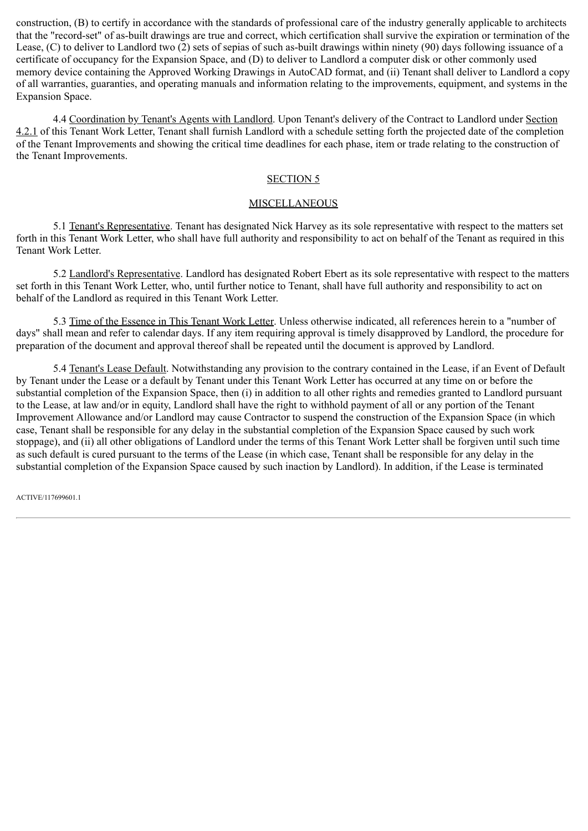construction, (B) to certify in accordance with the standards of professional care of the industry generally applicable to architects that the "record-set" of as-built drawings are true and correct, which certification shall survive the expiration or termination of the Lease, (C) to deliver to Landlord two (2) sets of sepias of such as-built drawings within ninety (90) days following issuance of a certificate of occupancy for the Expansion Space, and (D) to deliver to Landlord a computer disk or other commonly used memory device containing the Approved Working Drawings in AutoCAD format, and (ii) Tenant shall deliver to Landlord a copy of all warranties, guaranties, and operating manuals and information relating to the improvements, equipment, and systems in the Expansion Space.

4.4 Coordination by Tenant's Agents with Landlord. Upon Tenant's delivery of the Contract to Landlord under Section 4.2.1 of this Tenant Work Letter, Tenant shall furnish Landlord with a schedule setting forth the projected date of the completion of the Tenant Improvements and showing the critical time deadlines for each phase, item or trade relating to the construction of the Tenant Improvements.

#### SECTION 5

# **MISCELLANEOUS**

5.1 Tenant's Representative. Tenant has designated Nick Harvey as its sole representative with respect to the matters set forth in this Tenant Work Letter, who shall have full authority and responsibility to act on behalf of the Tenant as required in this Tenant Work Letter.

5.2 Landlord's Representative. Landlord has designated Robert Ebert as its sole representative with respect to the matters set forth in this Tenant Work Letter, who, until further notice to Tenant, shall have full authority and responsibility to act on behalf of the Landlord as required in this Tenant Work Letter.

5.3 Time of the Essence in This Tenant Work Letter. Unless otherwise indicated, all references herein to a "number of days" shall mean and refer to calendar days. If any item requiring approval is timely disapproved by Landlord, the procedure for preparation of the document and approval thereof shall be repeated until the document is approved by Landlord.

5.4 Tenant's Lease Default. Notwithstanding any provision to the contrary contained in the Lease, if an Event of Default by Tenant under the Lease or a default by Tenant under this Tenant Work Letter has occurred at any time on or before the substantial completion of the Expansion Space, then (i) in addition to all other rights and remedies granted to Landlord pursuant to the Lease, at law and/or in equity, Landlord shall have the right to withhold payment of all or any portion of the Tenant Improvement Allowance and/or Landlord may cause Contractor to suspend the construction of the Expansion Space (in which case, Tenant shall be responsible for any delay in the substantial completion of the Expansion Space caused by such work stoppage), and (ii) all other obligations of Landlord under the terms of this Tenant Work Letter shall be forgiven until such time as such default is cured pursuant to the terms of the Lease (in which case, Tenant shall be responsible for any delay in the substantial completion of the Expansion Space caused by such inaction by Landlord). In addition, if the Lease is terminated